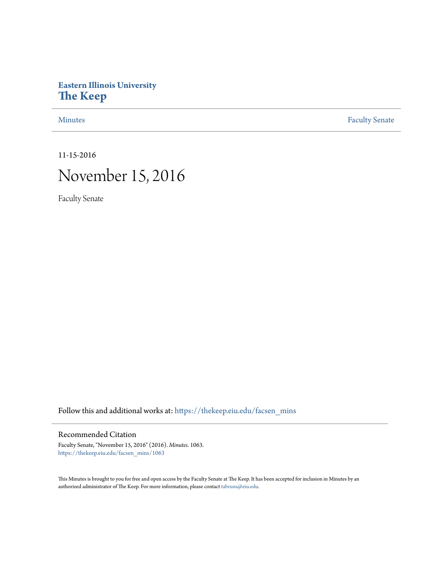## **Eastern Illinois University [The Keep](https://thekeep.eiu.edu?utm_source=thekeep.eiu.edu%2Ffacsen_mins%2F1063&utm_medium=PDF&utm_campaign=PDFCoverPages)**

[Minutes](https://thekeep.eiu.edu/facsen_mins?utm_source=thekeep.eiu.edu%2Ffacsen_mins%2F1063&utm_medium=PDF&utm_campaign=PDFCoverPages) **[Faculty Senate](https://thekeep.eiu.edu/fac_senate?utm_source=thekeep.eiu.edu%2Ffacsen_mins%2F1063&utm_medium=PDF&utm_campaign=PDFCoverPages)** 

11-15-2016

# November 15, 2016

Faculty Senate

Follow this and additional works at: [https://thekeep.eiu.edu/facsen\\_mins](https://thekeep.eiu.edu/facsen_mins?utm_source=thekeep.eiu.edu%2Ffacsen_mins%2F1063&utm_medium=PDF&utm_campaign=PDFCoverPages)

#### Recommended Citation

Faculty Senate, "November 15, 2016" (2016). *Minutes*. 1063. [https://thekeep.eiu.edu/facsen\\_mins/1063](https://thekeep.eiu.edu/facsen_mins/1063?utm_source=thekeep.eiu.edu%2Ffacsen_mins%2F1063&utm_medium=PDF&utm_campaign=PDFCoverPages)

This Minutes is brought to you for free and open access by the Faculty Senate at The Keep. It has been accepted for inclusion in Minutes by an authorized administrator of The Keep. For more information, please contact [tabruns@eiu.edu](mailto:tabruns@eiu.edu).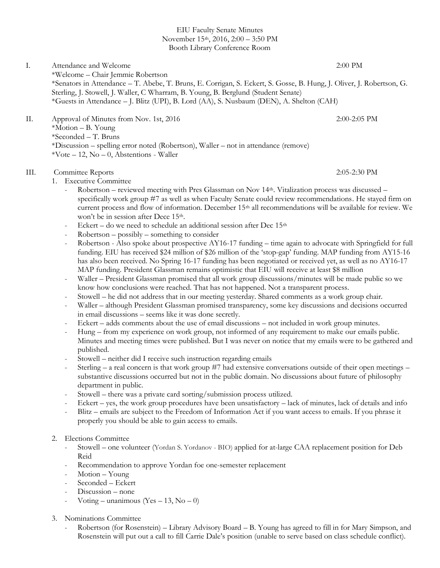#### EIU Faculty Senate Minutes November 15th, 2016, 2:00 – 3:50 PM Booth Library Conference Room

I. Attendance and Welcome 2:00 PM \*Welcome – Chair Jemmie Robertson \*Senators in Attendance – T. Abebe, T. Bruns, E. Corrigan, S. Eckert, S. Gosse, B. Hung, J. Oliver, J. Robertson, G. Sterling, J. Stowell, J. Waller, C Wharram, B. Young, B. Berglund (Student Senate) \*Guests in Attendance – J. Blitz (UPI), B. Lord (AA), S. Nusbaum (DEN), A. Shelton (CAH)

II. Approval of Minutes from Nov. 1st, 2016 2:00-2:05 PM \*Motion – B. Young \*Seconded – T. Bruns \*Discussion – spelling error noted (Robertson), Waller – not in attendance (remove)  $*Vote - 12$ , No - 0, Abstentions - Waller

### III. Committee Reports 2:05-2:30 PM

- 1. Executive Committee
	- Robertson reviewed meeting with Pres Glassman on Nov 14th. Vitalization process was discussed specifically work group #7 as well as when Faculty Senate could review recommendations. He stayed firm on current process and flow of information. December  $15<sup>th</sup>$  all recommendations will be available for review. We won't be in session after Dece 15<sup>th</sup>.
	- Eckert do we need to schedule an additional session after Dec  $15<sup>th</sup>$
	- $Robertson possibly something to consider$
	- Robertson Also spoke about prospective AY16-17 funding time again to advocate with Springfield for full funding. EIU has received \$24 million of \$26 million of the 'stop-gap' funding. MAP funding from AY15-16 has also been received. No Spring 16-17 funding has been negotiated or received yet, as well as no AY16-17 MAP funding. President Glassman remains optimistic that EIU will receive at least \$8 million
	- Waller President Glassman promised that all work group discussions/minutes will be made public so we know how conclusions were reached. That has not happened. Not a transparent process.
	- Stowell he did not address that in our meeting yesterday. Shared comments as a work group chair.
	- Waller although President Glassman promised transparency, some key discussions and decisions occurred in email discussions – seems like it was done secretly.
	- Eckert adds comments about the use of email discussions not included in work group minutes.
	- Hung from my experience on work group, not informed of any requirement to make our emails public. Minutes and meeting times were published. But I was never on notice that my emails were to be gathered and published.
	- Stowell neither did I receive such instruction regarding emails
	- Sterling a real concern is that work group #7 had extensive conversations outside of their open meetings substantive discussions occurred but not in the public domain. No discussions about future of philosophy department in public.
	- Stowell there was a private card sorting/submission process utilized.
	- Eckert yes, the work group procedures have been unsatisfactory lack of minutes, lack of details and info
	- Blitz emails are subject to the Freedom of Information Act if you want access to emails. If you phrase it properly you should be able to gain access to emails.

#### 2. Elections Committee

- Stowell one volunteer (Yordan S. Yordanov BIO) applied for at-large CAA replacement position for Deb Reid
- Recommendation to approve Yordan foe one-semester replacement
- Motion Young
- Seconded Eckert
- Discussion none
- Voting unanimous  $(Yes 13, No 0)$
- 3. Nominations Committee
	- Robertson (for Rosenstein) Library Advisory Board B. Young has agreed to fill in for Mary Simpson, and Rosenstein will put out a call to fill Carrie Dale's position (unable to serve based on class schedule conflict).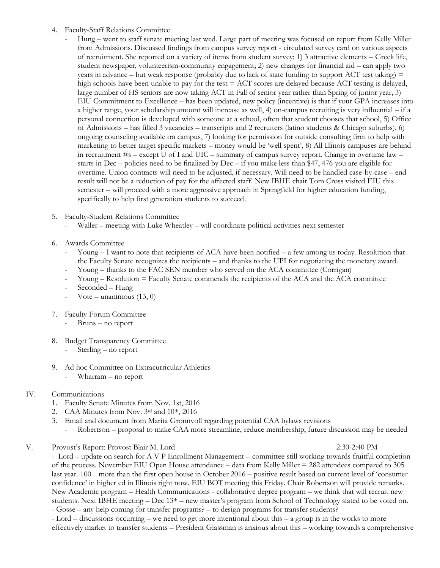#### 4. Faculty-Staff Relations Committee

- Hung went to staff senate meeting last wed. Large part of meeting was focused on report from Kelly Miller from Admissions. Discussed findings from campus survey report - circulated survey card on various aspects of recruitment. She reported on a variety of items from student survey: 1) 3 attractive elements – Greek life, student newspaper, volunteerism-community engagement; 2) new changes for financial aid – can apply two years in advance – but weak response (probably due to lack of state funding to support  $ACT$  test taking)  $=$ high schools have been unable to pay for the test  $= ACT$  scores are delayed because ACT testing is delayed, large number of HS seniors are now taking ACT in Fall of senior year rather than Spring of junior year, 3) EIU Commitment to Excellence – has been updated, new policy (incentive) is that if your GPA increases into a higher range, your scholarship amount will increase as well, 4) on-campus recruiting is very influential – if a personal connection is developed with someone at a school, often that student chooses that school, 5) Office of Admissions – has filled 3 vacancies – transcripts and 2 recruiters (latino students & Chicago suburbs), 6) ongoing counseling available on campus, 7) looking for permission for outside consulting firm to help with marketing to better target specific markets – money would be 'well spent', 8) All Illinois campuses are behind in recruitment #s – except U of I and UIC – summary of campus survey report. Change in overtime law – starts in Dec – policies need to be finalized by Dec – if you make less than \$47, 476 you are eligible for overtime. Union contracts will need to be adjusted, if necessary. Will need to be handled case-by-case – end result will not be a reduction of pay for the affected staff. New IBHE chair Tom Cross visited EIU this semester – will proceed with a more aggressive approach in Springfield for higher education funding, specifically to help first generation students to succeed.
- 5. Faculty-Student Relations Committee
	- Waller meeting with Luke Wheatley will coordinate political activities next semester
- 6. Awards Committee
	- Young  $I$  want to note that recipients of ACA have been notified  $a$  few among us today. Resolution that the Faculty Senate recognizes the recipients – and thanks to the UPI for negotiating the monetary award.
	- Young thanks to the FAC SEN member who served on the ACA committee (Corrigan)
	- Young Resolution = Faculty Senate commends the recipients of the ACA and the ACA committee
	- Seconded Hung
	- Vote unanimous  $(13, 0)$
- 7. Faculty Forum Committee
	- Bruns no report
- 8. Budget Transparency Committee
	- Sterling no report
- 9. Ad hoc Committee on Extracurricular Athletics - Wharram – no report
- IV. Communications
	- 1. Faculty Senate Minutes from Nov. 1st, 2016
	- 2. CAA Minutes from Nov. 3rd and 10th, 2016
	- 3. Email and document from Marita Gronnvoll regarding potential CAA bylaws revisions
		- Robertson proposal to make CAA more streamline, reduce membership, future discussion may be needed

V. Provost's Report: Provost Blair M. Lord 2:30-2:40 PM

- Lord – update on search for A V P Enrollment Management – committee still working towards fruitful completion of the process. November EIU Open House attendance – data from Kelly Miller = 282 attendees compared to 305 last year. 100+ more than the first open house in October 2016 – positive result based on current level of 'consumer confidence' in higher ed in Illinois right now. EIU BOT meeting this Friday. Chair Robertson will provide remarks. New Academic program – Health Communications - collaborative degree program – we think that will recruit new students. Next IBHE meeting – Dec 13<sup>th</sup> – new master's program from School of Technology slated to be voted on. - Gosse – any help coming for transfer programs? – to design programs for transfer students?

- Lord – discussions occurring – we need to get more intentional about this – a group is in the works to more effectively market to transfer students – President Glassman is anxious about this – working towards a comprehensive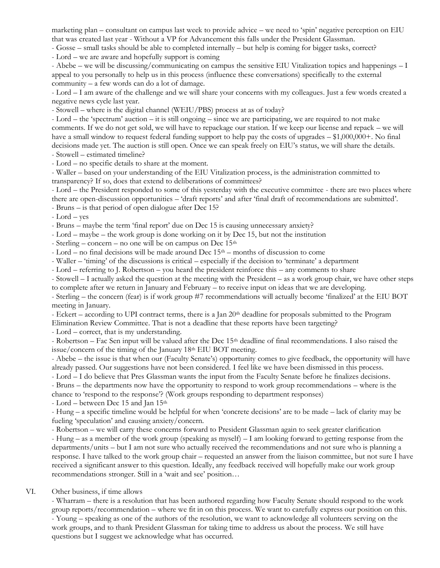marketing plan – consultant on campus last week to provide advice – we need to 'spin' negative perception on EIU that was created last year - Without a VP for Advancement this falls under the President Glassman.

- Gosse – small tasks should be able to completed internally – but help is coming for bigger tasks, correct?

- Lord – we are aware and hopefully support is coming

- Abebe – we will be discussing/communicating on campus the sensitive EIU Vitalization topics and happenings – I appeal to you personally to help us in this process (influence these conversations) specifically to the external community – a few words can do a lot of damage.

- Lord – I am aware of the challenge and we will share your concerns with my colleagues. Just a few words created a negative news cycle last year.

- Stowell – where is the digital channel (WEIU/PBS) process at as of today?

- Lord – the 'spectrum' auction – it is still ongoing – since we are participating, we are required to not make comments. If we do not get sold, we will have to repackage our station. If we keep our license and repack – we will have a small window to request federal funding support to help pay the costs of upgrades – \$1,000,000+. No final decisions made yet. The auction is still open. Once we can speak freely on EIU's status, we will share the details. - Stowell – estimated timeline?

- Lord – no specific details to share at the moment.

- Waller – based on your understanding of the EIU Vitalization process, is the administration committed to transparency? If so, does that extend to deliberations of committees?

- Lord – the President responded to some of this yesterday with the executive committee - there are two places where there are open-discussion opportunities – 'draft reports' and after 'final draft of recommendations are submitted'.

- Bruns – is that period of open dialogue after Dec 15?

- Lord – yes

- Bruns – maybe the term 'final report' due on Dec 15 is causing unnecessary anxiety?

- Lord – maybe – the work group is done working on it by Dec 15, but not the institution

- Sterling – concern – no one will be on campus on Dec  $15<sup>th</sup>$ 

- Lord – no final decisions will be made around Dec  $15<sup>th</sup>$  – months of discussion to come

- Waller – 'timing' of the discussions is critical – especially if the decision to 'terminate' a department

- Lord – referring to J. Robertson – you heard the president reinforce this – any comments to share

- Stowell – I actually asked the question at the meeting with the President – as a work group chair, we have other steps to complete after we return in January and February – to receive input on ideas that we are developing.

- Sterling – the concern (fear) is if work group #7 recommendations will actually become 'finalized' at the EIU BOT meeting in January.

- Eckert – according to UPI contract terms, there is a Jan 20<sup>th</sup> deadline for proposals submitted to the Program Elimination Review Committee. That is not a deadline that these reports have been targeting?

- Lord – correct, that is my understanding.

- Robertson – Fac Sen input will be valued after the Dec 15<sup>th</sup> deadline of final recommendations. I also raised the issue/concern of the timing of the January 18<sup>th</sup> EIU BOT meeting.

- Abebe – the issue is that when our (Faculty Senate's) opportunity comes to give feedback, the opportunity will have already passed. Our suggestions have not been considered. I feel like we have been dismissed in this process.

- Lord – I do believe that Pres Glassman wants the input from the Faculty Senate before he finalizes decisions.

- Bruns – the departments now have the opportunity to respond to work group recommendations – where is the chance to 'respond to the response'? (Work groups responding to department responses)

- Lord – between Dec 15 and Jan 15th

- Hung – a specific timeline would be helpful for when 'concrete decisions' are to be made – lack of clarity may be fueling 'speculation' and causing anxiety/concern.

- Robertson – we will carry these concerns forward to President Glassman again to seek greater clarification

- Hung – as a member of the work group (speaking as myself) – I am looking forward to getting response from the departments/units – but I am not sure who actually received the recommendations and not sure who is planning a response. I have talked to the work group chair – requested an answer from the liaison committee, but not sure I have received a significant answer to this question. Ideally, any feedback received will hopefully make our work group recommendations stronger. Still in a 'wait and see' position…

#### VI. Other business, if time allows

- Wharram – there is a resolution that has been authored regarding how Faculty Senate should respond to the work group reports/recommendation – where we fit in on this process. We want to carefully express our position on this. - Young – speaking as one of the authors of the resolution, we want to acknowledge all volunteers serving on the work groups, and to thank President Glassman for taking time to address us about the process. We still have questions but I suggest we acknowledge what has occurred.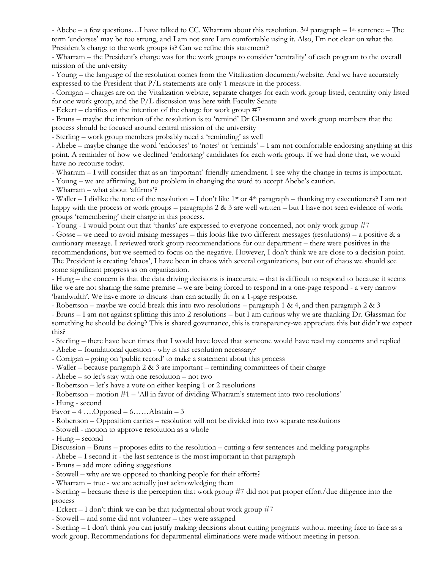- Abebe – a few questions...I have talked to CC. Wharram about this resolution.  $3^{rd}$  paragraph – 1<sup>st</sup> sentence – The term 'endorses' may be too strong, and I am not sure I am comfortable using it. Also, I'm not clear on what the President's charge to the work groups is? Can we refine this statement?

- Wharram – the President's charge was for the work groups to consider 'centrality' of each program to the overall mission of the university

- Young – the language of the resolution comes from the Vitalization document/website. And we have accurately expressed to the President that P/L statements are only 1 measure in the process.

- Corrigan – charges are on the Vitalization website, separate charges for each work group listed, centrality only listed for one work group, and the P/L discussion was here with Faculty Senate

- Eckert – clarifies on the intention of the charge for work group #7

- Bruns – maybe the intention of the resolution is to 'remind' Dr Glassmann and work group members that the process should be focused around central mission of the university

- Sterling – work group members probably need a 'reminding' as well

- Abebe – maybe change the word 'endorses' to 'notes' or 'reminds' – I am not comfortable endorsing anything at this point. A reminder of how we declined 'endorsing' candidates for each work group. If we had done that, we would have no recourse today.

- Wharram – I will consider that as an 'important' friendly amendment. I see why the change in terms is important.

- Young – we are affirming, but no problem in changing the word to accept Abebe's caution.

- Wharram – what about 'affirms'?

- Waller – I dislike the tone of the resolution – I don't like 1<sup>st</sup> or 4<sup>th</sup> paragraph – thanking my executioners? I am not happy with the process or work groups – paragraphs  $2 \& 3$  are well written – but I have not seen evidence of work groups 'remembering' their charge in this process.

- Young - I would point out that 'thanks' are expressed to everyone concerned, not only work group #7

- Gosse – we need to avoid mixing messages – this looks like two different messages (resolutions) – a positive & a cautionary message. I reviewed work group recommendations for our department – there were positives in the recommendations, but we seemed to focus on the negative. However, I don't think we are close to a decision point. The President is creating 'chaos', I have been in chaos with several organizations, but out of chaos we should see some significant progress as on organization.

- Hung – the concern is that the data driving decisions is inaccurate – that is difficult to respond to because it seems like we are not sharing the same premise – we are being forced to respond in a one-page respond - a very narrow 'bandwidth'. We have more to discuss than can actually fit on a 1-page response.

- Robertson – maybe we could break this into two resolutions – paragraph 1 & 4, and then paragraph 2 & 3 - Bruns – I am not against splitting this into 2 resolutions – but I am curious why we are thanking Dr. Glassman for

something he should be doing? This is shared governance, this is transparency-we appreciate this but didn't we expect this?

- Sterling – there have been times that I would have loved that someone would have read my concerns and replied

- Abebe foundational question why is this resolution necessary?
- Corrigan going on 'public record' to make a statement about this process
- Waller because paragraph  $2 \& 3$  are important reminding committees of their charge
- Abebe so let's stay with one resolution not two
- Robertson let's have a vote on either keeping 1 or 2 resolutions
- Robertson motion #1 'All in favor of dividing Wharram's statement into two resolutions'

- Hung - second

Favor –  $4$  ....Opposed –  $6$ ......Abstain – 3

- Robertson – Opposition carries – resolution will not be divided into two separate resolutions

- Stowell - motion to approve resolution as a whole

- Hung – second

Discussion – Bruns – proposes edits to the resolution – cutting a few sentences and melding paragraphs

- Abebe I second it the last sentence is the most important in that paragraph
- Bruns add more editing suggestions
- Stowell why are we opposed to thanking people for their efforts?

- Wharram – true - we are actually just acknowledging them

- Sterling – because there is the perception that work group #7 did not put proper effort/due diligence into the process

- Eckert  $-$  I don't think we can be that judgmental about work group  $\#7$
- Stowell and some did not volunteer they were assigned

- Sterling – I don't think you can justify making decisions about cutting programs without meeting face to face as a work group. Recommendations for departmental eliminations were made without meeting in person.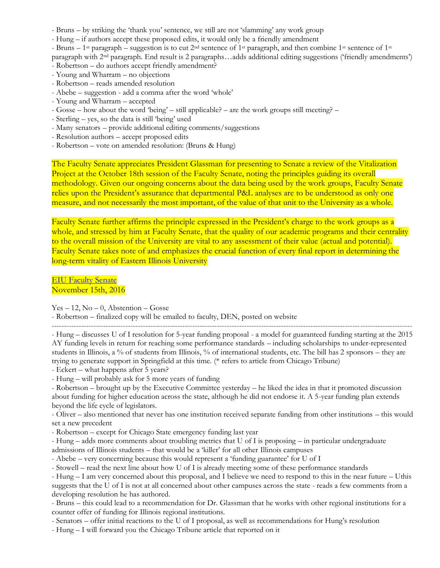- Bruns by striking the 'thank you' sentence, we still are not 'slamming' any work group
- Hung if authors accept these proposed edits, it would only be a friendly amendment
- Bruns 1<sup>st</sup> paragraph suggestion is to cut 2<sup>nd</sup> sentence of 1<sup>st</sup> paragraph, and then combine 1<sup>st</sup> sentence of 1<sup>st</sup>

paragraph with 2nd paragraph. End result is 2 paragraphs…adds additional editing suggestions ('friendly amendments')

- Robertson do authors accept friendly amendment?
- Young and Wharram no objections
- Robertson reads amended resolution
- Abebe suggestion add a comma after the word 'whole'
- Young and Wharram accepted
- Gosse how about the word 'being' still applicable? are the work groups still meeting? –
- Sterling yes, so the data is still 'being' used
- Many senators provide additional editing comments/suggestions
- Resolution authors accept proposed edits
- Robertson vote on amended resolution: (Bruns & Hung)

The Faculty Senate appreciates President Glassman for presenting to Senate a review of the Vitalization Project at the October 18th session of the Faculty Senate, noting the principles guiding its overall methodology. Given our ongoing concerns about the data being used by the work groups, Faculty Senate relies upon the President's assurance that departmental P&L analyses are to be understood as only one measure, and not necessarily the most important, of the value of that unit to the University as a whole.

Faculty Senate further affirms the principle expressed in the President's charge to the work groups as a whole, and stressed by him at Faculty Senate, that the quality of our academic programs and their centrality to the overall mission of the University are vital to any assessment of their value (actual and potential). Faculty Senate takes note of and emphasizes the crucial function of every final report in determining the long-term vitality of Eastern Illinois University

[EIU Faculty Senate](http://castle.eiu.edu/facsen/members.php) November 15th, 2016

 $Yes - 12$ ,  $No - 0$ , Abstention – Gosse

- Robertson – finalized copy will be emailed to faculty, DEN, posted on website

--------------------------------------------------------------------------------------------------------------------------------------------------

- Hung – discusses U of I resolution for 5-year funding proposal - a model for guaranteed funding starting at the 2015 AY funding levels in return for reaching some performance standards – including scholarships to under-represented students in Illinois, a % of students from Illinois, % of international students, etc. The bill has 2 sponsors – they are trying to generate support in Springfield at this time. (\* refers to article from Chicago Tribune)

- Eckert – what happens after 5 years?

- Hung – will probably ask for 5 more years of funding

- Robertson – brought up by the Executive Committee yesterday – he liked the idea in that it promoted discussion about funding for higher education across the state, although he did not endorse it. A 5-year funding plan extends beyond the life cycle of legislators.

- Oliver – also mentioned that never has one institution received separate funding from other institutions – this would set a new precedent

- Robertson – except for Chicago State emergency funding last year

- Hung – adds more comments about troubling metrics that U of I is proposing – in particular undergraduate

admissions of Illinois students – that would be a 'killer' for all other Illinois campuses

- Abebe – very concerning because this would represent a 'funding guarantee' for U of I

- Stowell – read the next line about how U of I is already meeting some of these performance standards

- Hung – I am very concerned about this proposal, and I believe we need to respond to this in the near future – Uthis suggests that the U of I is not at all concerned about other campuses across the state - reads a few comments from a developing resolution he has authored.

- Bruns – this could lead to a recommendation for Dr. Glassman that he works with other regional institutions for a counter offer of funding for Illinois regional institutions.

- Senators – offer initial reactions to the U of I proposal, as well as recommendations for Hung's resolution

- Hung – I will forward you the Chicago Tribune article that reported on it